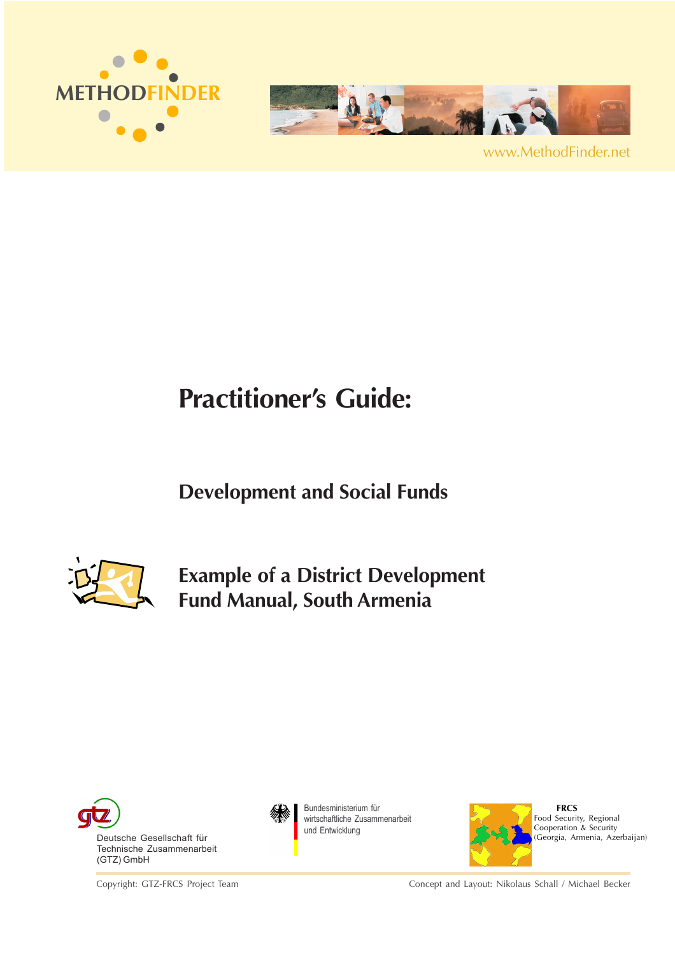



www.MethodFinder.net

# **Practitioner's Guide:**

## **Development and Social Funds**



**Example of a District Development Fund Manual, South Armenia**



Copyright: GTZ-FRCS Project Team



Bundesministerium für wirtschaftliche Zusammenarbeit und Entwicklung



 **FRCS** Food Security, Regional Cooperation & Security (Georgia, Armenia, Azerbaijan)

Concept and Layout: Nikolaus Schall / Michael Becker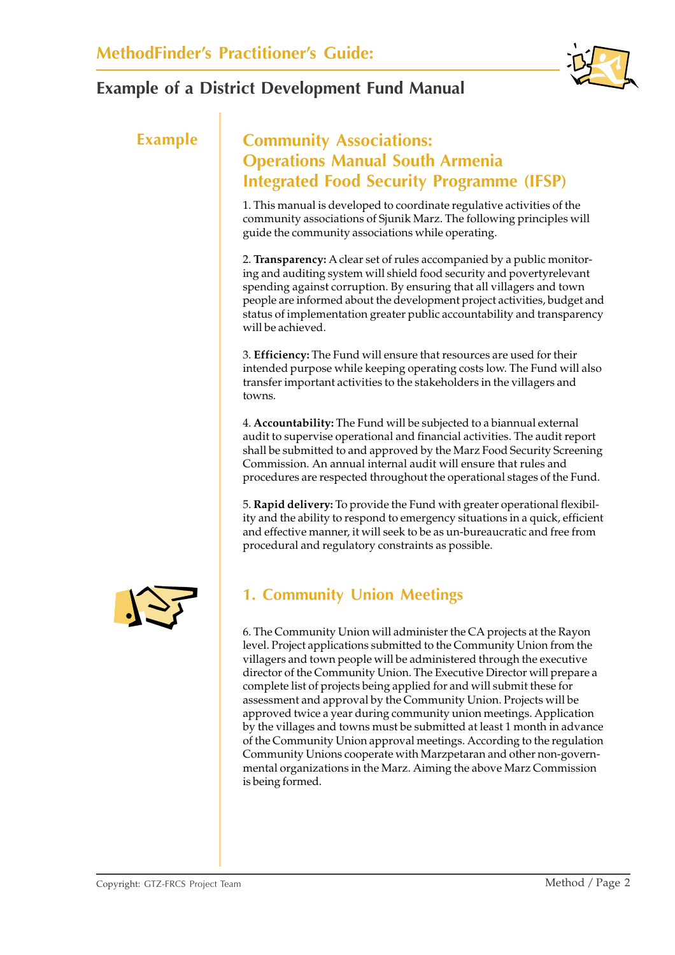

## **Example Community Associations: Operations Manual South Armenia Integrated Food Security Programme (IFSP)**

1. This manual is developed to coordinate regulative activities of the community associations of Sjunik Marz. The following principles will guide the community associations while operating.

2. **Transparency:** A clear set of rules accompanied by a public monitoring and auditing system will shield food security and povertyrelevant spending against corruption. By ensuring that all villagers and town people are informed about the development project activities, budget and status of implementation greater public accountability and transparency will be achieved.

3. **Efficiency:** The Fund will ensure that resources are used for their intended purpose while keeping operating costs low. The Fund will also transfer important activities to the stakeholders in the villagers and towns.

4. **Accountability:** The Fund will be subjected to a biannual external audit to supervise operational and financial activities. The audit report shall be submitted to and approved by the Marz Food Security Screening Commission. An annual internal audit will ensure that rules and procedures are respected throughout the operational stages of the Fund.

5. **Rapid delivery:** To provide the Fund with greater operational flexibility and the ability to respond to emergency situations in a quick, efficient and effective manner, it will seek to be as un-bureaucratic and free from procedural and regulatory constraints as possible.



## **1. Community Union Meetings**

6. The Community Union will administer the CA projects at the Rayon level. Project applications submitted to the Community Union from the villagers and town people will be administered through the executive director of the Community Union. The Executive Director will prepare a complete list of projects being applied for and will submit these for assessment and approval by the Community Union. Projects will be approved twice a year during community union meetings. Application by the villages and towns must be submitted at least 1 month in advance of the Community Union approval meetings. According to the regulation Community Unions cooperate with Marzpetaran and other non-governmental organizations in the Marz. Aiming the above Marz Commission is being formed.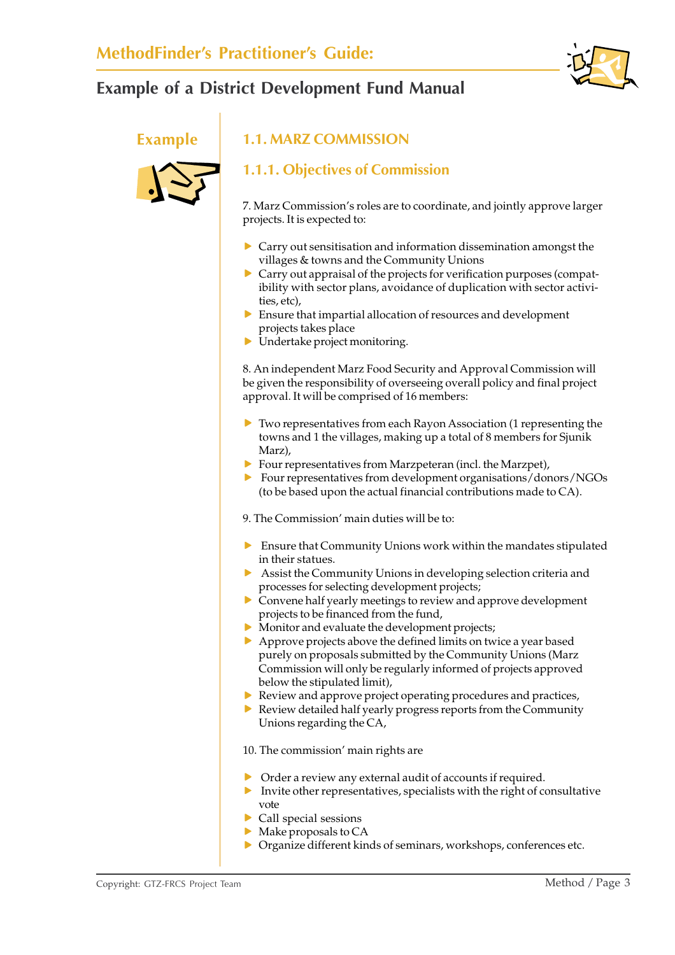



## **Example 1.1. MARZ COMMISSION**

## **1.1.1. Objectives of Commission**

7. Marz Commission's roles are to coordinate, and jointly approve larger projects. It is expected to:

- $\triangleright$  Carry out sensitisation and information dissemination amongst the villages & towns and the Community Unions
- $\triangleright$  Carry out appraisal of the projects for verification purposes (compatibility with sector plans, avoidance of duplication with sector activities, etc),
- $\triangleright$  Ensure that impartial allocation of resources and development projects takes place
- $\blacktriangleright$  Undertake project monitoring.

8. An independent Marz Food Security and Approval Commission will be given the responsibility of overseeing overall policy and final project approval. It will be comprised of 16 members:

- $\blacktriangleright$  Two representatives from each Rayon Association (1 representing the towns and 1 the villages, making up a total of 8 members for Sjunik Marz),
- $\blacktriangleright$  Four representatives from Marzpeteran (incl. the Marzpet),
- $\triangleright$  Four representatives from development organisations/donors/NGOs (to be based upon the actual financial contributions made to CA).
- 9. The Commission' main duties will be to:
- $\triangleright$  Ensure that Community Unions work within the mandates stipulated in their statues.
- $\blacktriangleright$  Assist the Community Unions in developing selection criteria and processes for selecting development projects;
- $\triangleright$  Convene half yearly meetings to review and approve development projects to be financed from the fund,
- $\triangleright$  Monitor and evaluate the development projects;
- $\triangleright$  Approve projects above the defined limits on twice a year based purely on proposals submitted by the Community Unions (Marz Commission will only be regularly informed of projects approved below the stipulated limit),
- $\blacktriangleright$  Review and approve project operating procedures and practices,
- $\triangleright$  Review detailed half yearly progress reports from the Community Unions regarding the CA,
- 10. The commission' main rights are
- $\triangleright$  Order a review any external audit of accounts if required.
- $\blacktriangleright$  Invite other representatives, specialists with the right of consultative vote
- $\triangleright$  Call special sessions
- $\blacktriangleright$  Make proposals to CA
- $\triangleright$  Organize different kinds of seminars, workshops, conferences etc.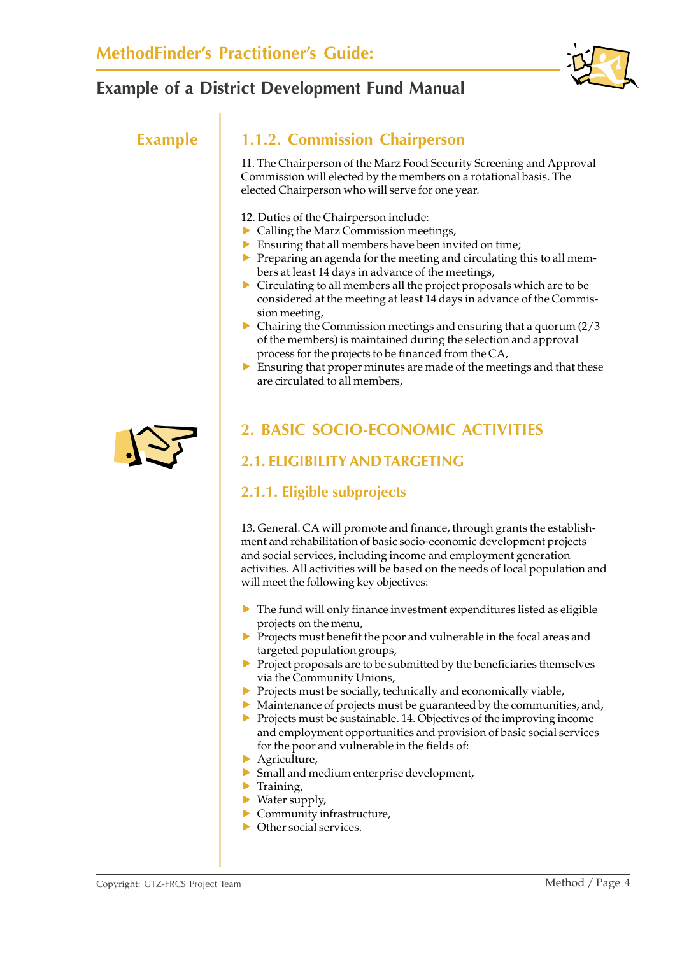

## **Example 1.1.2. Commission Chairperson**

11. The Chairperson of the Marz Food Security Screening and Approval Commission will elected by the members on a rotational basis. The elected Chairperson who will serve for one year.

- 12. Duties of the Chairperson include:
- $\triangleright$  Calling the Marz Commission meetings,
- $\blacktriangleright$  Ensuring that all members have been invited on time;
- $\blacktriangleright$  Preparing an agenda for the meeting and circulating this to all members at least 14 days in advance of the meetings,
- $\triangleright$  Circulating to all members all the project proposals which are to be considered at the meeting at least 14 days in advance of the Commission meeting,
- $\triangleright$  Chairing the Commission meetings and ensuring that a quorum (2/3) of the members) is maintained during the selection and approval process for the projects to be financed from the CA,
- $\blacktriangleright$  Ensuring that proper minutes are made of the meetings and that these are circulated to all members,



## **2. BASIC SOCIO-ECONOMIC ACTIVITIES**

## **2.1. ELIGIBILITY AND TARGETING**

## **2.1.1. Eligible subprojects**

13. General. CA will promote and finance, through grants the establishment and rehabilitation of basic socio-economic development projects and social services, including income and employment generation activities. All activities will be based on the needs of local population and will meet the following key objectives:

- $\triangleright$  The fund will only finance investment expenditures listed as eligible projects on the menu,
- $\triangleright$  Projects must benefit the poor and vulnerable in the focal areas and targeted population groups,
- $\triangleright$  Project proposals are to be submitted by the beneficiaries themselves via the Community Unions,
- $\blacktriangleright$  Projects must be socially, technically and economically viable,
- $\blacktriangleright$  Maintenance of projects must be guaranteed by the communities, and,
- $\triangleright$  Projects must be sustainable. 14. Objectives of the improving income and employment opportunities and provision of basic social services for the poor and vulnerable in the fields of:
- $\blacktriangleright$  Agriculture,
- $\triangleright$  Small and medium enterprise development,
- $\blacktriangleright$  Training,
- $\blacktriangleright$  Water supply,
- $\blacktriangleright$  Community infrastructure,
- $\triangleright$  Other social services.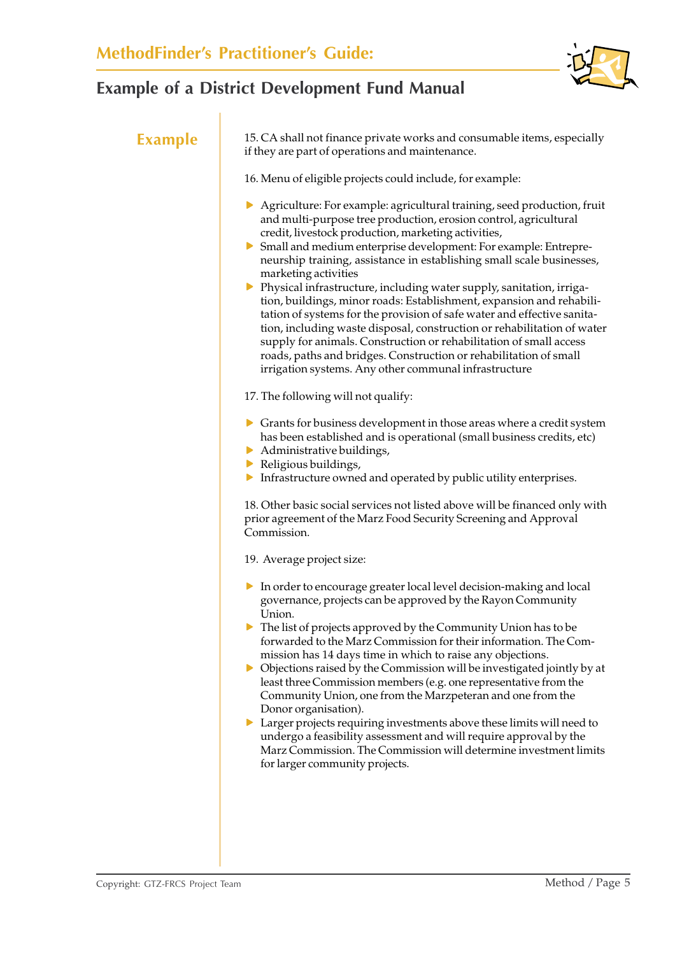

| <b>Example</b> | 15. CA shall not finance private works and consumable items, especially<br>if they are part of operations and maintenance.                                                                                                                                                                                                                                                                                                                                                                                                                                                                                                                                                                                                                                                                                                                                                         |  |  |  |  |
|----------------|------------------------------------------------------------------------------------------------------------------------------------------------------------------------------------------------------------------------------------------------------------------------------------------------------------------------------------------------------------------------------------------------------------------------------------------------------------------------------------------------------------------------------------------------------------------------------------------------------------------------------------------------------------------------------------------------------------------------------------------------------------------------------------------------------------------------------------------------------------------------------------|--|--|--|--|
|                | 16. Menu of eligible projects could include, for example:                                                                                                                                                                                                                                                                                                                                                                                                                                                                                                                                                                                                                                                                                                                                                                                                                          |  |  |  |  |
|                | Agriculture: For example: agricultural training, seed production, fruit<br>and multi-purpose tree production, erosion control, agricultural<br>credit, livestock production, marketing activities,<br>Small and medium enterprise development: For example: Entrepre-<br>neurship training, assistance in establishing small scale businesses,<br>marketing activities<br>> Physical infrastructure, including water supply, sanitation, irriga-<br>tion, buildings, minor roads: Establishment, expansion and rehabili-<br>tation of systems for the provision of safe water and effective sanita-<br>tion, including waste disposal, construction or rehabilitation of water<br>supply for animals. Construction or rehabilitation of small access<br>roads, paths and bridges. Construction or rehabilitation of small<br>irrigation systems. Any other communal infrastructure |  |  |  |  |
|                | 17. The following will not qualify:                                                                                                                                                                                                                                                                                                                                                                                                                                                                                                                                                                                                                                                                                                                                                                                                                                                |  |  |  |  |
|                | $\triangleright$ Grants for business development in those areas where a credit system<br>has been established and is operational (small business credits, etc)<br>Administrative buildings,<br>Religious buildings,<br>Infrastructure owned and operated by public utility enterprises.                                                                                                                                                                                                                                                                                                                                                                                                                                                                                                                                                                                            |  |  |  |  |
|                | 18. Other basic social services not listed above will be financed only with<br>prior agreement of the Marz Food Security Screening and Approval<br>Commission.                                                                                                                                                                                                                                                                                                                                                                                                                                                                                                                                                                                                                                                                                                                     |  |  |  |  |
|                | 19. Average project size:                                                                                                                                                                                                                                                                                                                                                                                                                                                                                                                                                                                                                                                                                                                                                                                                                                                          |  |  |  |  |
|                | In order to encourage greater local level decision-making and local<br>governance, projects can be approved by the Rayon Community<br>Union.<br>$\triangleright$ The list of projects approved by the Community Union has to be<br>forwarded to the Marz Commission for their information. The Com-<br>mission has 14 days time in which to raise any objections.<br>• Objections raised by the Commission will be investigated jointly by at<br>least three Commission members (e.g. one representative from the<br>Community Union, one from the Marzpeteran and one from the<br>Donor organisation).<br>• Larger projects requiring investments above these limits will need to<br>undergo a feasibility assessment and will require approval by the<br>Marz Commission. The Commission will determine investment limits<br>for larger community projects.                      |  |  |  |  |
|                |                                                                                                                                                                                                                                                                                                                                                                                                                                                                                                                                                                                                                                                                                                                                                                                                                                                                                    |  |  |  |  |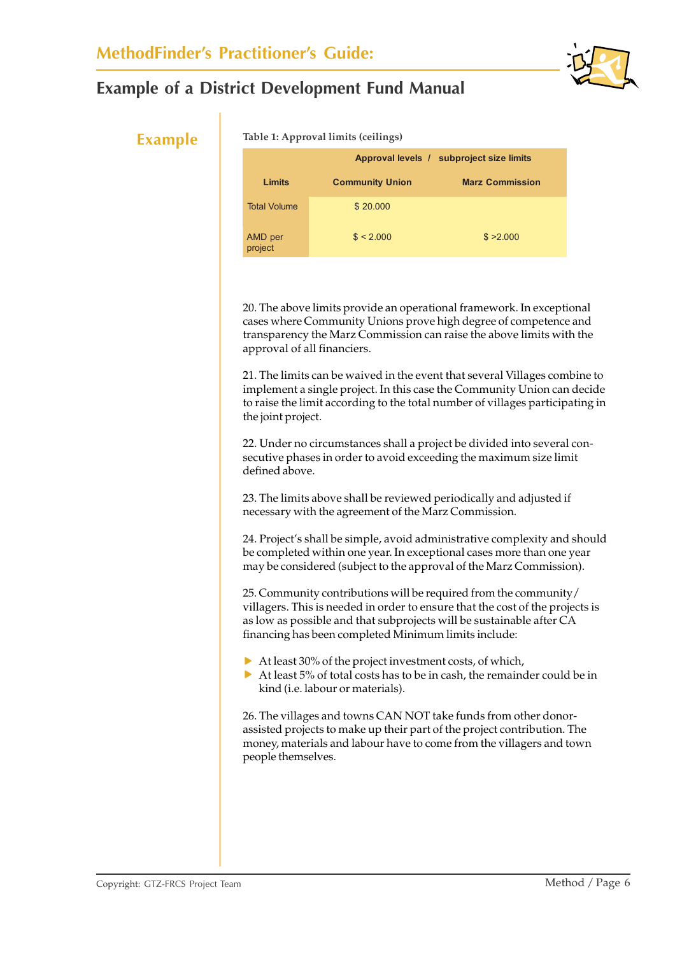

#### **Example Table 1: Approval limits (ceilings)**

|                     |                        | Approval levels / subproject size limits |  |  |  |  |
|---------------------|------------------------|------------------------------------------|--|--|--|--|
| Limits              | <b>Community Union</b> | <b>Marz Commission</b>                   |  |  |  |  |
| <b>Total Volume</b> | \$20,000               |                                          |  |  |  |  |
| AMD per<br>project  | \$ < 2.000             | \$ > 2.000                               |  |  |  |  |

20. The above limits provide an operational framework. In exceptional cases where Community Unions prove high degree of competence and transparency the Marz Commission can raise the above limits with the approval of all financiers.

21. The limits can be waived in the event that several Villages combine to implement a single project. In this case the Community Union can decide to raise the limit according to the total number of villages participating in the joint project.

22. Under no circumstances shall a project be divided into several consecutive phases in order to avoid exceeding the maximum size limit defined above.

23. The limits above shall be reviewed periodically and adjusted if necessary with the agreement of the Marz Commission.

24. Project's shall be simple, avoid administrative complexity and should be completed within one year. In exceptional cases more than one year may be considered (subject to the approval of the Marz Commission).

25. Community contributions will be required from the community/ villagers. This is needed in order to ensure that the cost of the projects is as low as possible and that subprojects will be sustainable after CA financing has been completed Minimum limits include:

- $\blacktriangleright$  At least 30% of the project investment costs, of which,
- $\triangleright$  At least 5% of total costs has to be in cash, the remainder could be in kind (i.e. labour or materials).

26. The villages and towns CAN NOT take funds from other donorassisted projects to make up their part of the project contribution. The money, materials and labour have to come from the villagers and town people themselves.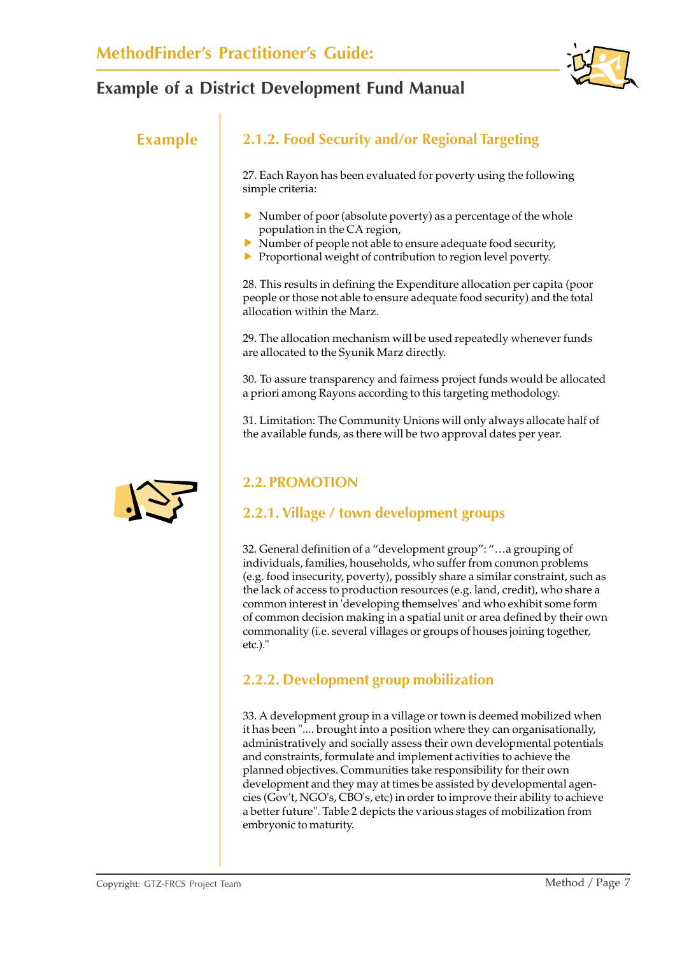

## **Example 2.1.2. Food Security and/or Regional Targeting**

27. Each Rayon has been evaluated for poverty using the following simple criteria:

- $\triangleright$  Number of poor (absolute poverty) as a percentage of the whole population in the CA region,
- $\triangleright$  Number of people not able to ensure adequate food security,
- $\blacktriangleright$  Proportional weight of contribution to region level poverty.

28. This results in defining the Expenditure allocation per capita (poor people or those not able to ensure adequate food security) and the total allocation within the Marz.

29. The allocation mechanism will be used repeatedly whenever funds are allocated to the Syunik Marz directly.

30. To assure transparency and fairness project funds would be allocated a priori among Rayons according to this targeting methodology.

31. Limitation: The Community Unions will only always allocate half of the available funds, as there will be two approval dates per year.

## **2.2. PROMOTION**

## **2.2.1. Village / town development groups**

32. General definition of a "development group": "…a grouping of individuals, families, households, who suffer from common problems (e.g. food insecurity, poverty), possibly share a similar constraint, such as the lack of access to production resources (e.g. land, credit), who share a common interest in 'developing themselves' and who exhibit some form of common decision making in a spatial unit or area defined by their own commonality (i.e. several villages or groups of houses joining together, etc.)."

## **2.2.2. Development group mobilization**

33. A development group in a village or town is deemed mobilized when it has been ".... brought into a position where they can organisationally, administratively and socially assess their own developmental potentials and constraints, formulate and implement activities to achieve the planned objectives. Communities take responsibility for their own development and they may at times be assisted by developmental agencies (Gov't, NGO's, CBO's, etc) in order to improve their ability to achieve a better future". Table 2 depicts the various stages of mobilization from embryonic to maturity.

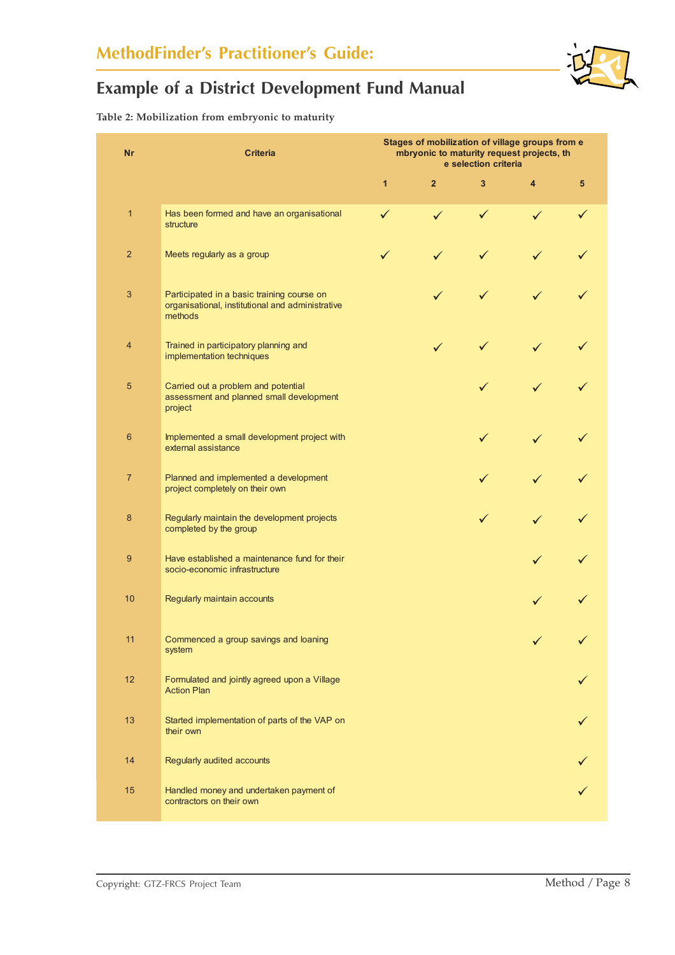**Table 2: Mobilization from embryonic to maturity**

| <b>Nr</b>      | <b>Criteria</b>                                                                                           |              | Stages of mobilization of village groups from e<br>mbryonic to maturity request projects, th<br>e selection criteria |              |               |         |
|----------------|-----------------------------------------------------------------------------------------------------------|--------------|----------------------------------------------------------------------------------------------------------------------|--------------|---------------|---------|
|                |                                                                                                           | $\mathbf{1}$ | $\overline{2}$                                                                                                       | 3            | 4             | 5       |
| $\mathbf{1}$   | Has been formed and have an organisational<br>structure                                                   | ✓            | $\checkmark$                                                                                                         | $\checkmark$ | ✓             |         |
| $\overline{2}$ | Meets regularly as a group                                                                                |              | ✓                                                                                                                    |              |               |         |
| 3              | Participated in a basic training course on<br>organisational, institutional and administrative<br>methods |              | ✓                                                                                                                    | ✓            |               |         |
| 4              | Trained in participatory planning and<br>implementation techniques                                        |              | ✓                                                                                                                    | ✓            | $\checkmark$  |         |
| 5              | Carried out a problem and potential<br>assessment and planned small development<br>project                |              |                                                                                                                      | $\checkmark$ | ✓             |         |
| $6\phantom{1}$ | Implemented a small development project with<br>external assistance                                       |              |                                                                                                                      | ✓            | ✓             |         |
| $\overline{7}$ | Planned and implemented a development<br>project completely on their own                                  |              |                                                                                                                      | $\checkmark$ | ✓             |         |
| 8              | Regularly maintain the development projects<br>completed by the group                                     |              |                                                                                                                      | ✓            | ✓             |         |
| 9              | Have established a maintenance fund for their<br>socio-economic infrastructure                            |              |                                                                                                                      |              | $\checkmark$  |         |
| 10             | Regularly maintain accounts                                                                               |              |                                                                                                                      |              | $\checkmark$  |         |
| 11             | Commenced a group savings and loaning<br>system                                                           |              |                                                                                                                      |              | $\mathcal{L}$ | $\cdot$ |
| 12             | Formulated and jointly agreed upon a Village<br><b>Action Plan</b>                                        |              |                                                                                                                      |              |               |         |
| 13             | Started implementation of parts of the VAP on<br>their own                                                |              |                                                                                                                      |              |               |         |
| 14             | Regularly audited accounts                                                                                |              |                                                                                                                      |              |               |         |
| 15             | Handled money and undertaken payment of<br>contractors on their own                                       |              |                                                                                                                      |              |               |         |

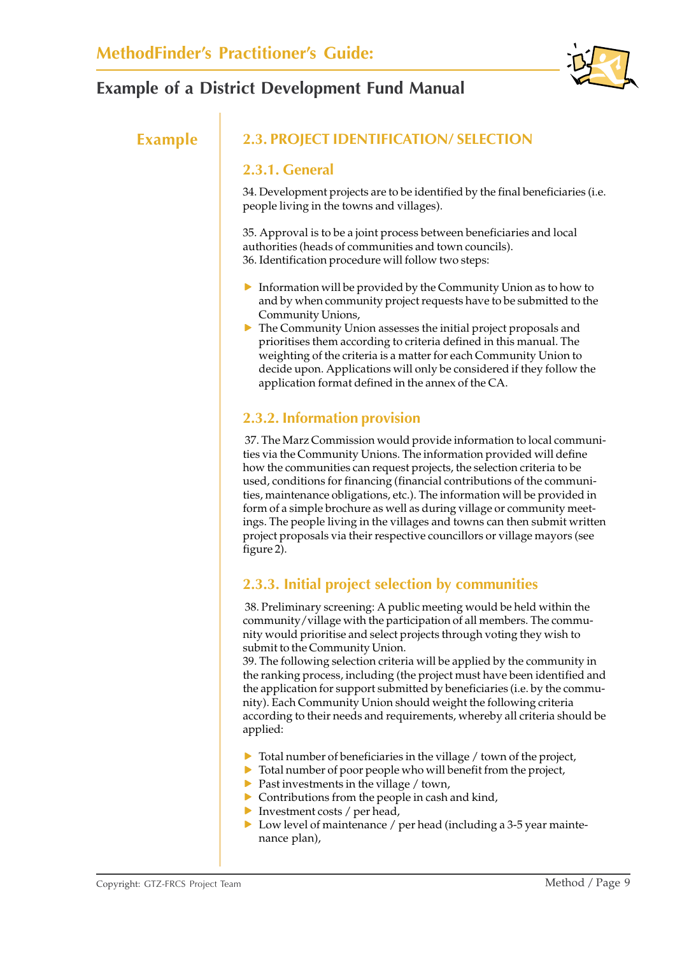

## **Example 2.3. PROJECT IDENTIFICATION/ SELECTION**

#### **2.3.1. General**

34. Development projects are to be identified by the final beneficiaries (i.e. people living in the towns and villages).

35. Approval is to be a joint process between beneficiaries and local authorities (heads of communities and town councils). 36. Identification procedure will follow two steps:

- $\blacktriangleright$  Information will be provided by the Community Union as to how to and by when community project requests have to be submitted to the Community Unions,
- $\triangleright$  The Community Union assesses the initial project proposals and prioritises them according to criteria defined in this manual. The weighting of the criteria is a matter for each Community Union to decide upon. Applications will only be considered if they follow the application format defined in the annex of the CA.

## **2.3.2. Information provision**

 37. The Marz Commission would provide information to local communities via the Community Unions. The information provided will define how the communities can request projects, the selection criteria to be used, conditions for financing (financial contributions of the communities, maintenance obligations, etc.). The information will be provided in form of a simple brochure as well as during village or community meetings. The people living in the villages and towns can then submit written project proposals via their respective councillors or village mayors (see figure 2).

## **2.3.3. Initial project selection by communities**

 38. Preliminary screening: A public meeting would be held within the community/village with the participation of all members. The community would prioritise and select projects through voting they wish to submit to the Community Union.

39. The following selection criteria will be applied by the community in the ranking process, including (the project must have been identified and the application for support submitted by beneficiaries (i.e. by the community). Each Community Union should weight the following criteria according to their needs and requirements, whereby all criteria should be applied:

- $\triangleright$  Total number of beneficiaries in the village / town of the project,
- $\triangleright$  Total number of poor people who will benefit from the project,
- $\blacktriangleright$  Past investments in the village / town,
- $\triangleright$  Contributions from the people in cash and kind,
- $\blacktriangleright$  Investment costs / per head,
- $\triangleright$  Low level of maintenance / per head (including a 3-5 year maintenance plan),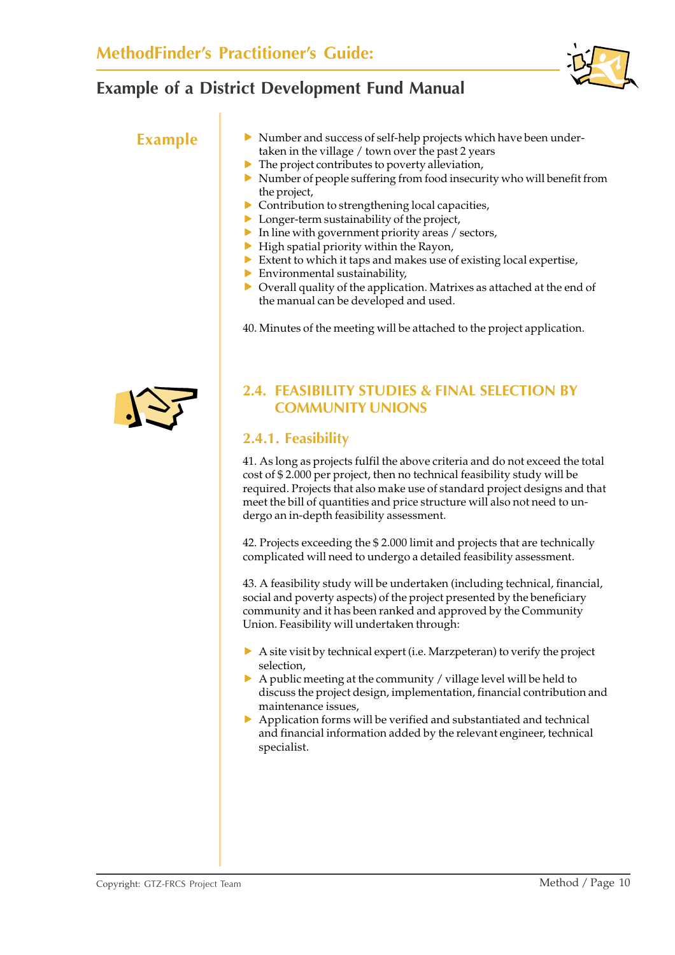

- **Example** Number and success of self-help projects which have been undertaken in the village / town over the past 2 years
	- $\blacktriangleright$  The project contributes to poverty alleviation,
	- $\triangleright$  Number of people suffering from food insecurity who will benefit from the project,
	- $\triangleright$  Contribution to strengthening local capacities,
	- $\blacktriangleright$  Longer-term sustainability of the project,
	- $\blacktriangleright$  In line with government priority areas / sectors,
	- $\blacktriangleright$  High spatial priority within the Rayon,
	- $\triangleright$  Extent to which it taps and makes use of existing local expertise,
	- $\blacktriangleright$  Environmental sustainability.
	- $\triangleright$  Overall quality of the application. Matrixes as attached at the end of the manual can be developed and used.

40. Minutes of the meeting will be attached to the project application.



## **2.4. FEASIBILITY STUDIES & FINAL SELECTION BY COMMUNITY UNIONS**

### **2.4.1. Feasibility**

41. As long as projects fulfil the above criteria and do not exceed the total cost of \$ 2.000 per project, then no technical feasibility study will be required. Projects that also make use of standard project designs and that meet the bill of quantities and price structure will also not need to undergo an in-depth feasibility assessment.

42. Projects exceeding the \$ 2.000 limit and projects that are technically complicated will need to undergo a detailed feasibility assessment.

43. A feasibility study will be undertaken (including technical, financial, social and poverty aspects) of the project presented by the beneficiary community and it has been ranked and approved by the Community Union. Feasibility will undertaken through:

- $\triangleright$  A site visit by technical expert (i.e. Marzpeteran) to verify the project selection,
- $\triangleright$  A public meeting at the community / village level will be held to discuss the project design, implementation, financial contribution and maintenance issues,
- $\triangleright$  Application forms will be verified and substantiated and technical and financial information added by the relevant engineer, technical specialist.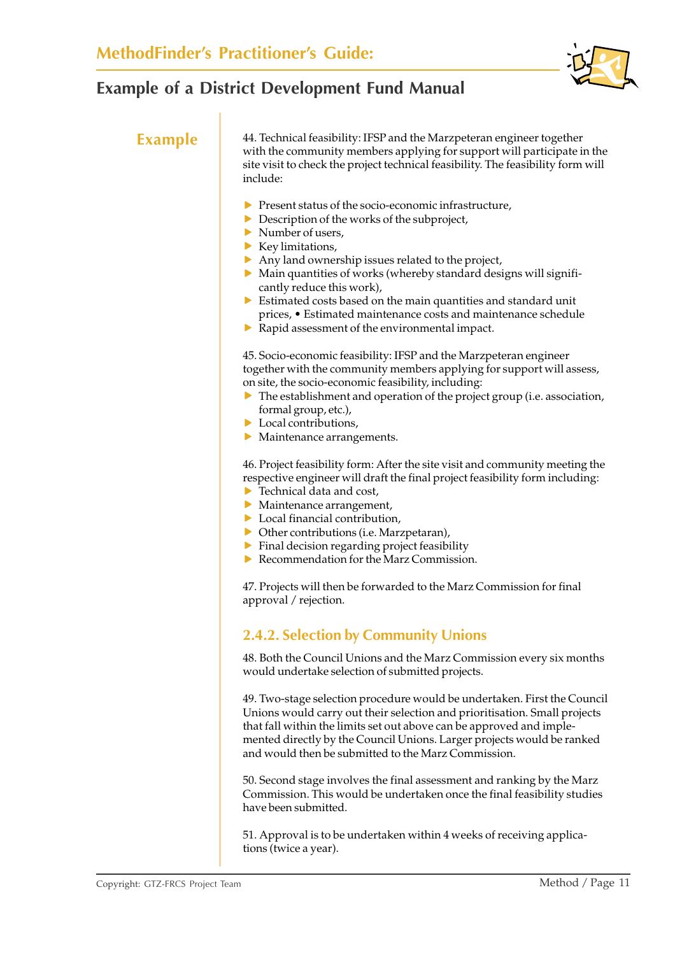

**Example** 44. Technical feasibility: IFSP and the Marzpeteran engineer together with the community members applying for support will participate in the site visit to check the project technical feasibility. The feasibility form will include:

- $\blacktriangleright$  Present status of the socio-economic infrastructure,
- $\triangleright$  Description of the works of the subproject,
- $\blacktriangleright$  Number of users.
- $\blacktriangleright$  Key limitations,
- $\blacktriangleright$  Any land ownership issues related to the project,
- $\triangleright$  Main quantities of works (whereby standard designs will significantly reduce this work),
- $\triangleright$  Estimated costs based on the main quantities and standard unit prices, • Estimated maintenance costs and maintenance schedule
- $\blacktriangleright$  Rapid assessment of the environmental impact.

45. Socio-economic feasibility: IFSP and the Marzpeteran engineer together with the community members applying for support will assess, on site, the socio-economic feasibility, including:

- $\blacktriangleright$  The establishment and operation of the project group (i.e. association, formal group, etc.),
- $\blacktriangleright$  Local contributions,
- $\blacktriangleright$  Maintenance arrangements.

46. Project feasibility form: After the site visit and community meeting the respective engineer will draft the final project feasibility form including:

- $\blacktriangleright$  Technical data and cost.
- $\blacktriangleright$  Maintenance arrangement,
- $\blacktriangleright$  Local financial contribution,
- $\triangleright$  Other contributions (i.e. Marzpetaran),
- $\blacktriangleright$  Final decision regarding project feasibility
- $\blacktriangleright$  Recommendation for the Marz Commission.

47. Projects will then be forwarded to the Marz Commission for final approval / rejection.

#### **2.4.2. Selection by Community Unions**

48. Both the Council Unions and the Marz Commission every six months would undertake selection of submitted projects.

49. Two-stage selection procedure would be undertaken. First the Council Unions would carry out their selection and prioritisation. Small projects that fall within the limits set out above can be approved and implemented directly by the Council Unions. Larger projects would be ranked and would then be submitted to the Marz Commission.

50. Second stage involves the final assessment and ranking by the Marz Commission. This would be undertaken once the final feasibility studies have been submitted.

51. Approval is to be undertaken within 4 weeks of receiving applications (twice a year).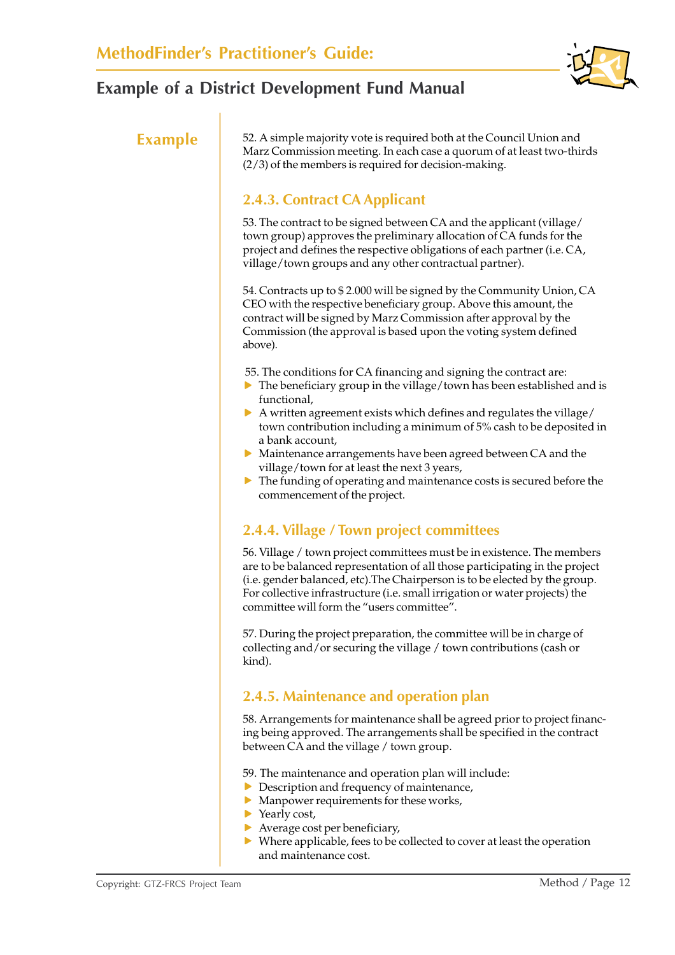

**Example** 52. A simple majority vote is required both at the Council Union and Marz Commission meeting. In each case a quorum of at least two-thirds (2/3) of the members is required for decision-making.

## **2.4.3. Contract CA Applicant**

53. The contract to be signed between CA and the applicant (village/ town group) approves the preliminary allocation of CA funds for the project and defines the respective obligations of each partner (i.e. CA, village/town groups and any other contractual partner).

54. Contracts up to \$ 2.000 will be signed by the Community Union, CA CEO with the respective beneficiary group. Above this amount, the contract will be signed by Marz Commission after approval by the Commission (the approval is based upon the voting system defined above).

- 55. The conditions for CA financing and signing the contract are:
- $\triangleright$  The beneficiary group in the village/town has been established and is functional,
- $\triangleright$  A written agreement exists which defines and regulates the village/ town contribution including a minimum of 5% cash to be deposited in a bank account,
- $\triangleright$  Maintenance arrangements have been agreed between CA and the village/town for at least the next 3 years,
- $\blacktriangleright$  The funding of operating and maintenance costs is secured before the commencement of the project.

## **2.4.4. Village / Town project committees**

56. Village / town project committees must be in existence. The members are to be balanced representation of all those participating in the project (i.e. gender balanced, etc).The Chairperson is to be elected by the group. For collective infrastructure (i.e. small irrigation or water projects) the committee will form the "users committee".

57. During the project preparation, the committee will be in charge of collecting and/or securing the village / town contributions (cash or kind).

## **2.4.5. Maintenance and operation plan**

58. Arrangements for maintenance shall be agreed prior to project financing being approved. The arrangements shall be specified in the contract between CA and the village / town group.

- 59. The maintenance and operation plan will include:
- $\triangleright$  Description and frequency of maintenance,
- $\blacktriangleright$  Manpower requirements for these works,
- $\blacktriangleright$  Yearly cost,
- $\blacktriangleright$  Average cost per beneficiary,
- $\triangleright$  Where applicable, fees to be collected to cover at least the operation and maintenance cost.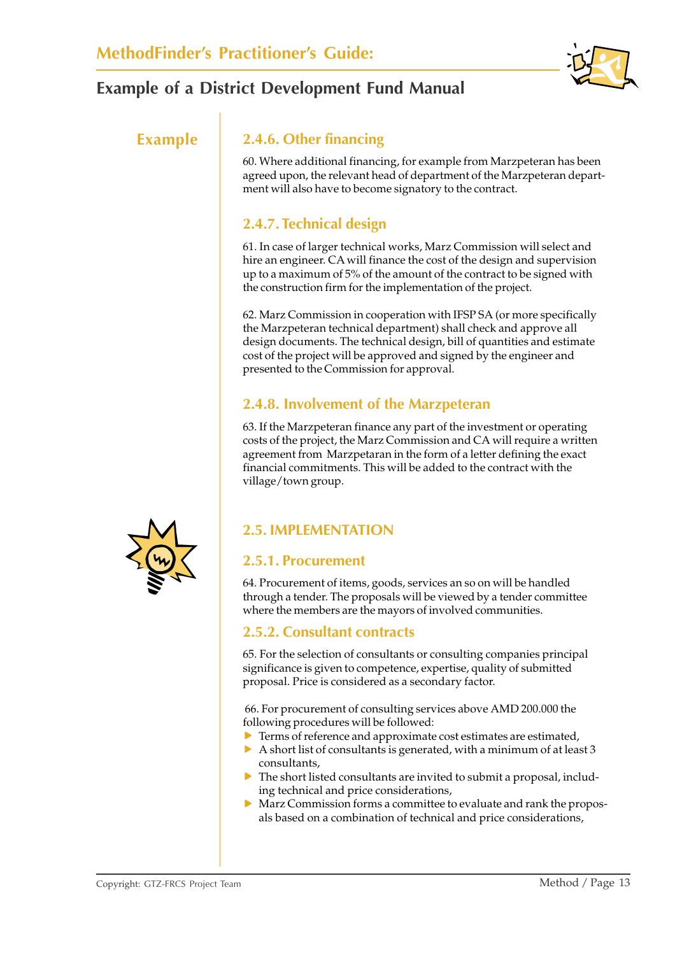

### **Example 2.4.6. Other financing**

60. Where additional financing, for example from Marzpeteran has been agreed upon, the relevant head of department of the Marzpeteran department will also have to become signatory to the contract.

## **2.4.7. Technical design**

61. In case of larger technical works, Marz Commission will select and hire an engineer. CA will finance the cost of the design and supervision up to a maximum of 5% of the amount of the contract to be signed with the construction firm for the implementation of the project.

62. Marz Commission in cooperation with IFSP SA (or more specifically the Marzpeteran technical department) shall check and approve all design documents. The technical design, bill of quantities and estimate cost of the project will be approved and signed by the engineer and presented to the Commission for approval.

## **2.4.8. Involvement of the Marzpeteran**

63. If the Marzpeteran finance any part of the investment or operating costs of the project, the Marz Commission and CA will require a written agreement from Marzpetaran in the form of a letter defining the exact financial commitments. This will be added to the contract with the village/town group.



## **2.5.1. Procurement**

64. Procurement of items, goods, services an so on will be handled through a tender. The proposals will be viewed by a tender committee where the members are the mayors of involved communities.

#### **2.5.2. Consultant contracts**

65. For the selection of consultants or consulting companies principal significance is given to competence, expertise, quality of submitted proposal. Price is considered as a secondary factor.

 66. For procurement of consulting services above AMD 200.000 the following procedures will be followed:

- $\blacktriangleright$  Terms of reference and approximate cost estimates are estimated,
- $\triangleright$  A short list of consultants is generated, with a minimum of at least 3 consultants,
- $\triangleright$  The short listed consultants are invited to submit a proposal, including technical and price considerations,
- $\triangleright$  Marz Commission forms a committee to evaluate and rank the proposals based on a combination of technical and price considerations,

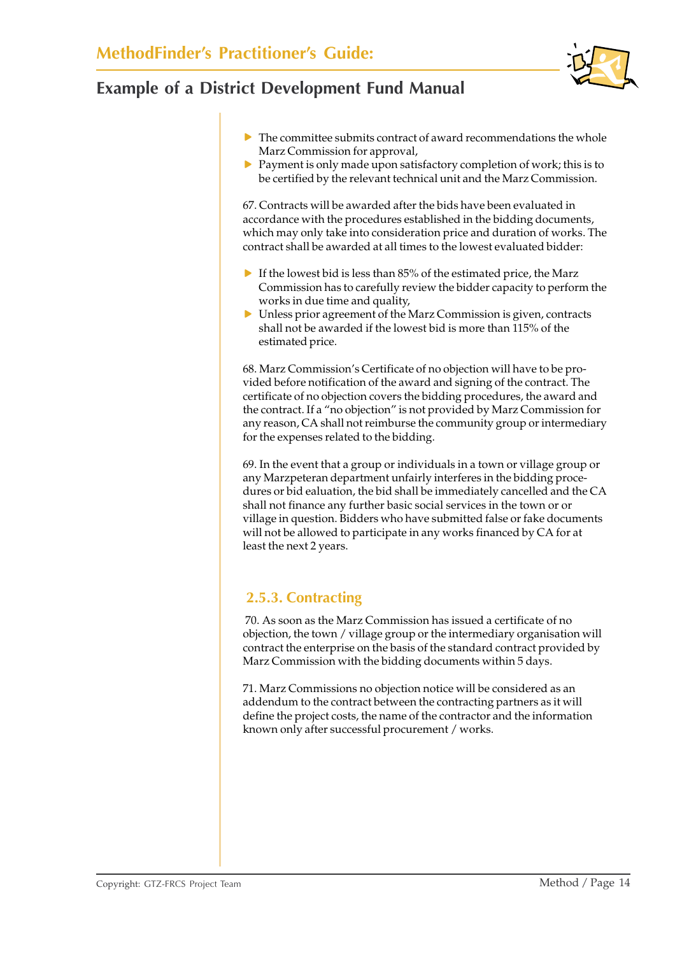

 $\triangleright$  Payment is only made upon satisfactory completion of work; this is to be certified by the relevant technical unit and the Marz Commission.

67. Contracts will be awarded after the bids have been evaluated in accordance with the procedures established in the bidding documents, which may only take into consideration price and duration of works. The contract shall be awarded at all times to the lowest evaluated bidder:

- $\blacktriangleright$  If the lowest bid is less than 85% of the estimated price, the Marz Commission has to carefully review the bidder capacity to perform the works in due time and quality,
- $\triangleright$  Unless prior agreement of the Marz Commission is given, contracts shall not be awarded if the lowest bid is more than 115% of the estimated price.

68. Marz Commission's Certificate of no objection will have to be provided before notification of the award and signing of the contract. The certificate of no objection covers the bidding procedures, the award and the contract. If a "no objection" is not provided by Marz Commission for any reason, CA shall not reimburse the community group or intermediary for the expenses related to the bidding.

69. In the event that a group or individuals in a town or village group or any Marzpeteran department unfairly interferes in the bidding procedures or bid ealuation, the bid shall be immediately cancelled and the CA shall not finance any further basic social services in the town or or village in question. Bidders who have submitted false or fake documents will not be allowed to participate in any works financed by CA for at least the next 2 years.

## **2.5.3. Contracting**

 70. As soon as the Marz Commission has issued a certificate of no objection, the town / village group or the intermediary organisation will contract the enterprise on the basis of the standard contract provided by Marz Commission with the bidding documents within 5 days.

71. Marz Commissions no objection notice will be considered as an addendum to the contract between the contracting partners as it will define the project costs, the name of the contractor and the information known only after successful procurement / works.

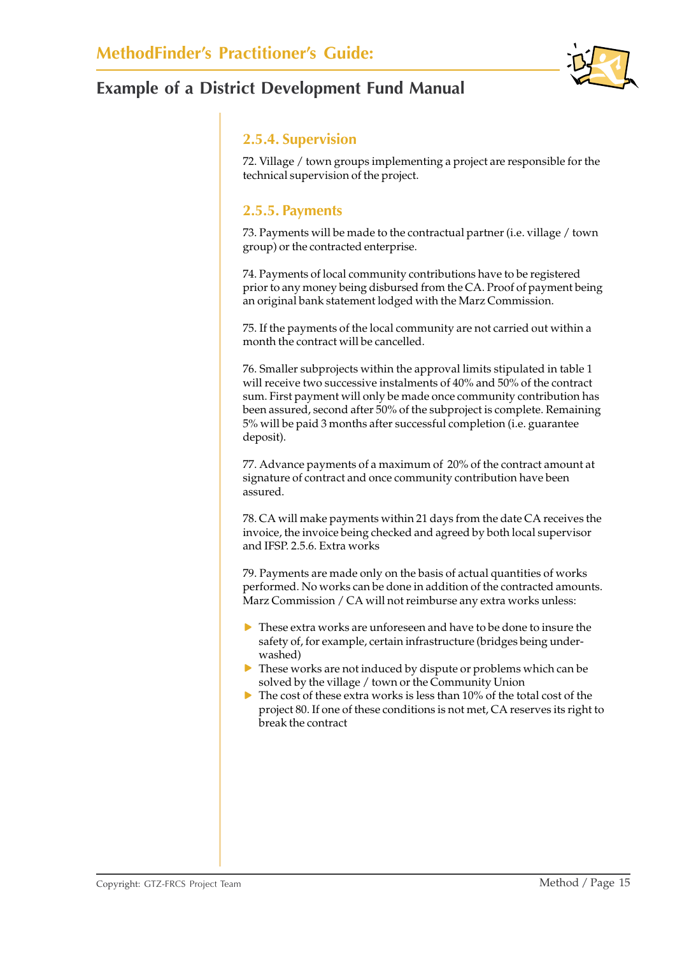

#### **2.5.4. Supervision**

72. Village / town groups implementing a project are responsible for the technical supervision of the project.

#### **2.5.5. Payments**

73. Payments will be made to the contractual partner (i.e. village / town group) or the contracted enterprise.

74. Payments of local community contributions have to be registered prior to any money being disbursed from the CA. Proof of payment being an original bank statement lodged with the Marz Commission.

75. If the payments of the local community are not carried out within a month the contract will be cancelled.

76. Smaller subprojects within the approval limits stipulated in table 1 will receive two successive instalments of 40% and 50% of the contract sum. First payment will only be made once community contribution has been assured, second after 50% of the subproject is complete. Remaining 5% will be paid 3 months after successful completion (i.e. guarantee deposit).

77. Advance payments of a maximum of 20% of the contract amount at signature of contract and once community contribution have been assured.

78. CA will make payments within 21 days from the date CA receives the invoice, the invoice being checked and agreed by both local supervisor and IFSP. 2.5.6. Extra works

79. Payments are made only on the basis of actual quantities of works performed. No works can be done in addition of the contracted amounts. Marz Commission / CA will not reimburse any extra works unless:

- $\triangleright$  These extra works are unforeseen and have to be done to insure the safety of, for example, certain infrastructure (bridges being underwashed)
- $\triangleright$  These works are not induced by dispute or problems which can be solved by the village / town or the Community Union
- $\triangleright$  The cost of these extra works is less than 10% of the total cost of the project 80. If one of these conditions is not met, CA reserves its right to break the contract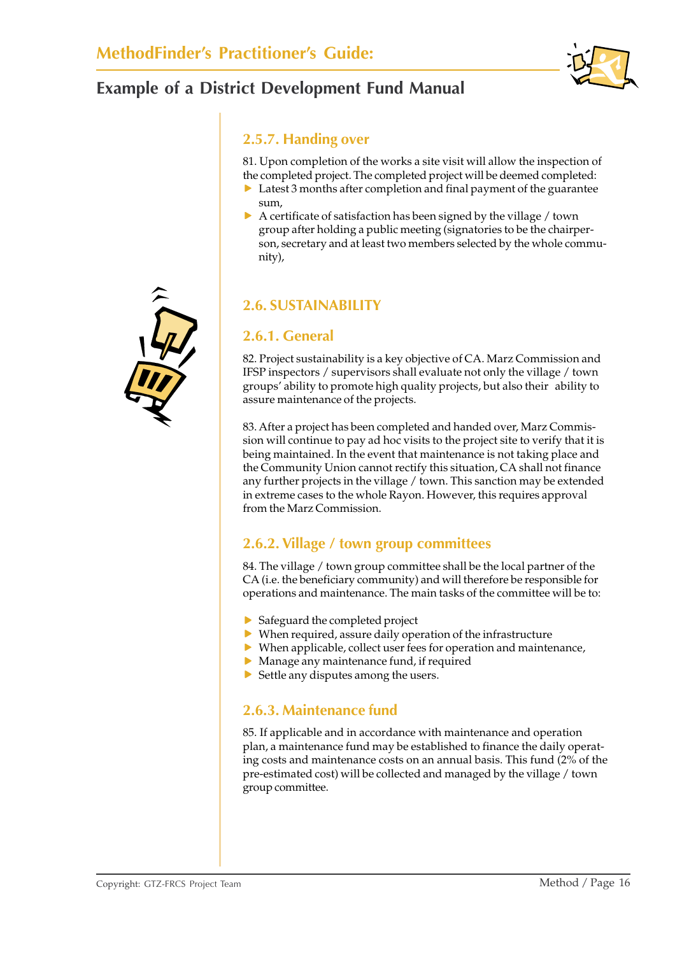

#### **2.5.7. Handing over**

81. Upon completion of the works a site visit will allow the inspection of the completed project. The completed project will be deemed completed:

- $\triangleright$  Latest 3 months after completion and final payment of the guarantee sum,
- $\triangleright$  A certificate of satisfaction has been signed by the village / town group after holding a public meeting (signatories to be the chairperson, secretary and at least two members selected by the whole community),

## **2.6. SUSTAINABILITY**

#### **2.6.1. General**

82. Project sustainability is a key objective of CA. Marz Commission and IFSP inspectors / supervisors shall evaluate not only the village / town groups' ability to promote high quality projects, but also their ability to assure maintenance of the projects.

83. After a project has been completed and handed over, Marz Commission will continue to pay ad hoc visits to the project site to verify that it is being maintained. In the event that maintenance is not taking place and the Community Union cannot rectify this situation, CA shall not finance any further projects in the village / town. This sanction may be extended in extreme cases to the whole Rayon. However, this requires approval from the Marz Commission.

#### **2.6.2. Village / town group committees**

84. The village / town group committee shall be the local partner of the CA (i.e. the beneficiary community) and will therefore be responsible for operations and maintenance. The main tasks of the committee will be to:

- $\blacktriangleright$  Safeguard the completed project
- $\triangleright$  When required, assure daily operation of the infrastructure
- $\triangleright$  When applicable, collect user fees for operation and maintenance,
- $\blacktriangleright$  Manage any maintenance fund, if required
- $\triangleright$  Settle any disputes among the users.

#### **2.6.3. Maintenance fund**

85. If applicable and in accordance with maintenance and operation plan, a maintenance fund may be established to finance the daily operating costs and maintenance costs on an annual basis. This fund (2% of the pre-estimated cost) will be collected and managed by the village / town group committee.

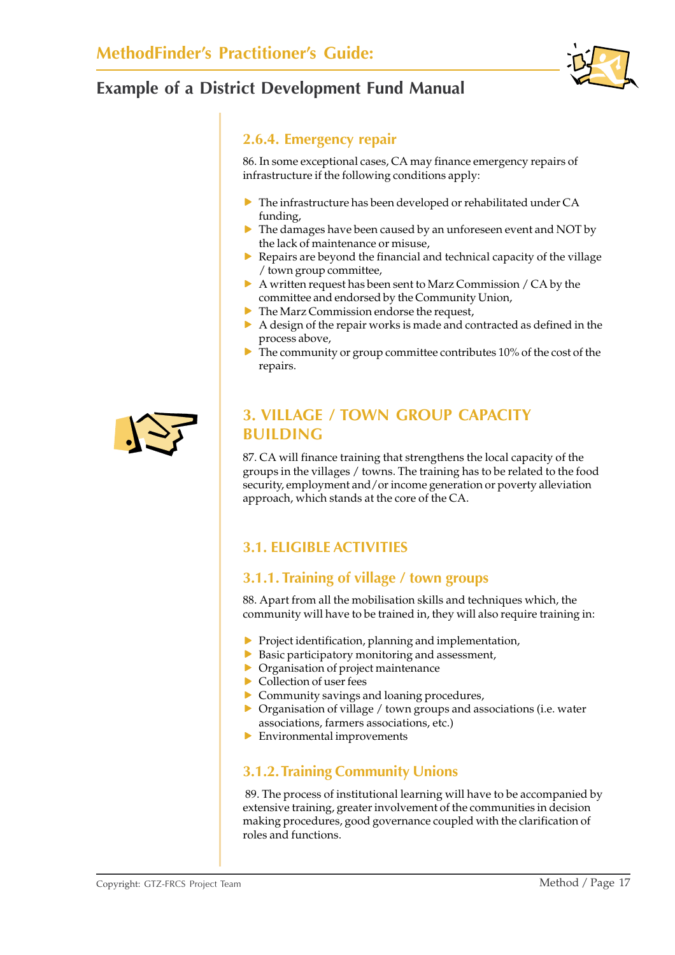

#### **2.6.4. Emergency repair**

86. In some exceptional cases, CA may finance emergency repairs of infrastructure if the following conditions apply:

- $\triangleright$  The infrastructure has been developed or rehabilitated under CA funding,
- $\triangleright$  The damages have been caused by an unforeseen event and NOT by the lack of maintenance or misuse,
- $\blacktriangleright$  Repairs are beyond the financial and technical capacity of the village / town group committee,
- $\triangleright$  A written request has been sent to Marz Commission / CA by the committee and endorsed by the Community Union,
- $\blacktriangleright$  The Marz Commission endorse the request,
- $\triangleright$  A design of the repair works is made and contracted as defined in the process above,
- $\triangleright$  The community or group committee contributes 10% of the cost of the repairs.



## **3. VILLAGE / TOWN GROUP CAPACITY BUILDING**

87. CA will finance training that strengthens the local capacity of the groups in the villages / towns. The training has to be related to the food security, employment and/or income generation or poverty alleviation approach, which stands at the core of the CA.

## **3.1. ELIGIBLE ACTIVITIES**

## **3.1.1. Training of village / town groups**

88. Apart from all the mobilisation skills and techniques which, the community will have to be trained in, they will also require training in:

- $\blacktriangleright$  Project identification, planning and implementation,
- $\triangleright$  Basic participatory monitoring and assessment,
- $\triangleright$  Organisation of project maintenance
- $\triangleright$  Collection of user fees
- $\triangleright$  Community savings and loaning procedures,
- $\triangleright$  Organisation of village / town groups and associations (i.e. water associations, farmers associations, etc.)
- $\blacktriangleright$  Environmental improvements

## **3.1.2. Training Community Unions**

 89. The process of institutional learning will have to be accompanied by extensive training, greater involvement of the communities in decision making procedures, good governance coupled with the clarification of roles and functions.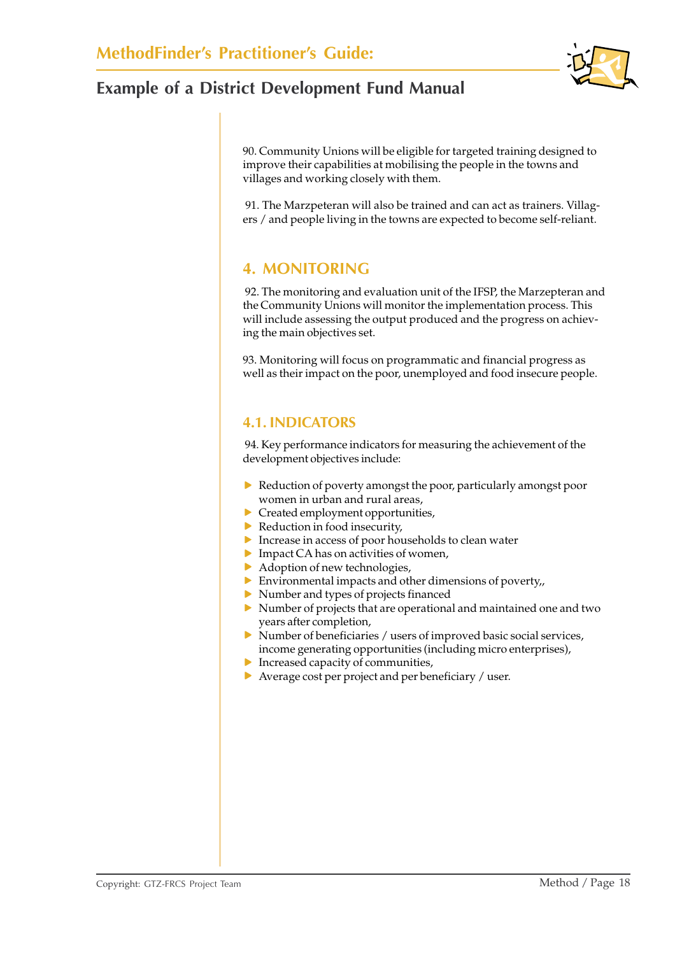90. Community Unions will be eligible for targeted training designed to improve their capabilities at mobilising the people in the towns and villages and working closely with them.

 91. The Marzpeteran will also be trained and can act as trainers. Villagers / and people living in the towns are expected to become self-reliant.

### **4. MONITORING**

 92. The monitoring and evaluation unit of the IFSP, the Marzepteran and the Community Unions will monitor the implementation process. This will include assessing the output produced and the progress on achieving the main objectives set.

93. Monitoring will focus on programmatic and financial progress as well as their impact on the poor, unemployed and food insecure people.

#### **4.1. INDICATORS**

 94. Key performance indicators for measuring the achievement of the development objectives include:

- $\blacktriangleright$  Reduction of poverty amongst the poor, particularly amongst poor women in urban and rural areas,
- $\blacktriangleright$  Created employment opportunities,
- $\blacktriangleright$  Reduction in food insecurity,
- $\blacktriangleright$  Increase in access of poor households to clean water
- $\blacktriangleright$  Impact CA has on activities of women,
- $\blacktriangleright$  Adoption of new technologies,
- $\triangleright$  Environmental impacts and other dimensions of poverty,
- $\blacktriangleright$  Number and types of projects financed
- $\triangleright$  Number of projects that are operational and maintained one and two years after completion,
- $\triangleright$  Number of beneficiaries / users of improved basic social services, income generating opportunities (including micro enterprises),
- $\blacktriangleright$  Increased capacity of communities,
- $\blacktriangleright$  Average cost per project and per beneficiary / user.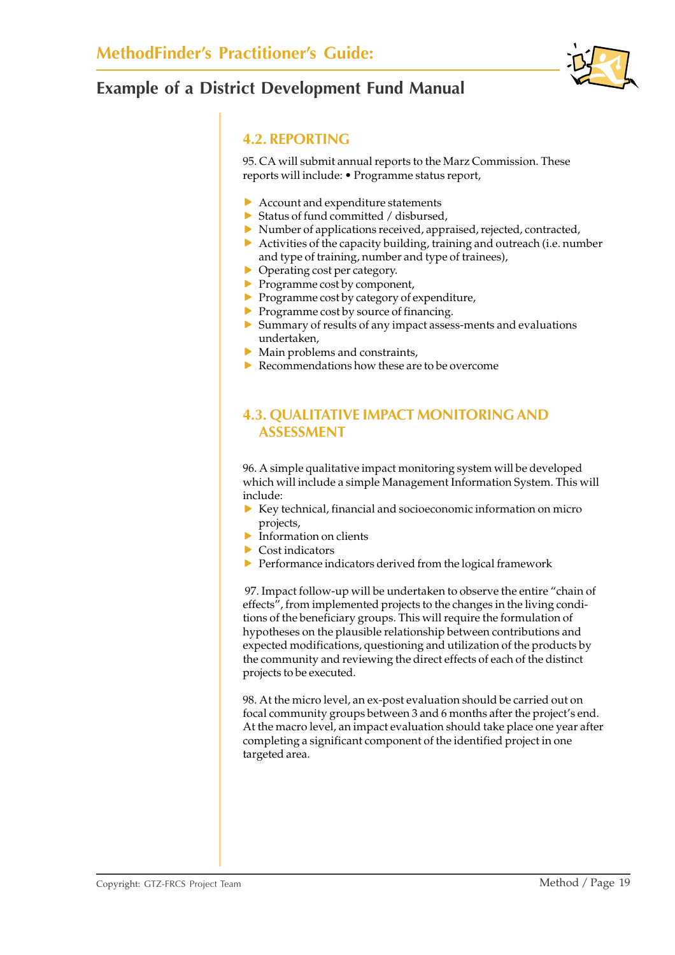

#### **4.2. REPORTING**

95. CA will submit annual reports to the Marz Commission. These reports will include: • Programme status report,

- $\blacktriangleright$  Account and expenditure statements
- $\triangleright$  Status of fund committed / disbursed,
- $\blacktriangleright$  Number of applications received, appraised, rejected, contracted,
- $\blacktriangleright$  Activities of the capacity building, training and outreach (i.e. number and type of training, number and type of trainees),
- $\triangleright$  Operating cost per category.
- $\blacktriangleright$  Programme cost by component,
- $\blacktriangleright$  Programme cost by category of expenditure,
- $\blacktriangleright$  Programme cost by source of financing.
- $\triangleright$  Summary of results of any impact assess-ments and evaluations undertaken,
- $\blacktriangleright$  Main problems and constraints,
- $\blacktriangleright$  Recommendations how these are to be overcome

### **4.3. QUALITATIVE IMPACT MONITORING AND ASSESSMENT**

96. A simple qualitative impact monitoring system will be developed which will include a simple Management Information System. This will include:

- $\triangleright$  Key technical, financial and socioeconomic information on micro projects,
- $\blacktriangleright$  Information on clients
- $\blacktriangleright$  Cost indicators
- $\blacktriangleright$  Performance indicators derived from the logical framework

 97. Impact follow-up will be undertaken to observe the entire "chain of effects<sup>"</sup>, from implemented projects to the changes in the living conditions of the beneficiary groups. This will require the formulation of hypotheses on the plausible relationship between contributions and expected modifications, questioning and utilization of the products by the community and reviewing the direct effects of each of the distinct projects to be executed.

98. At the micro level, an ex-post evaluation should be carried out on focal community groups between 3 and 6 months after the project's end. At the macro level, an impact evaluation should take place one year after completing a significant component of the identified project in one targeted area.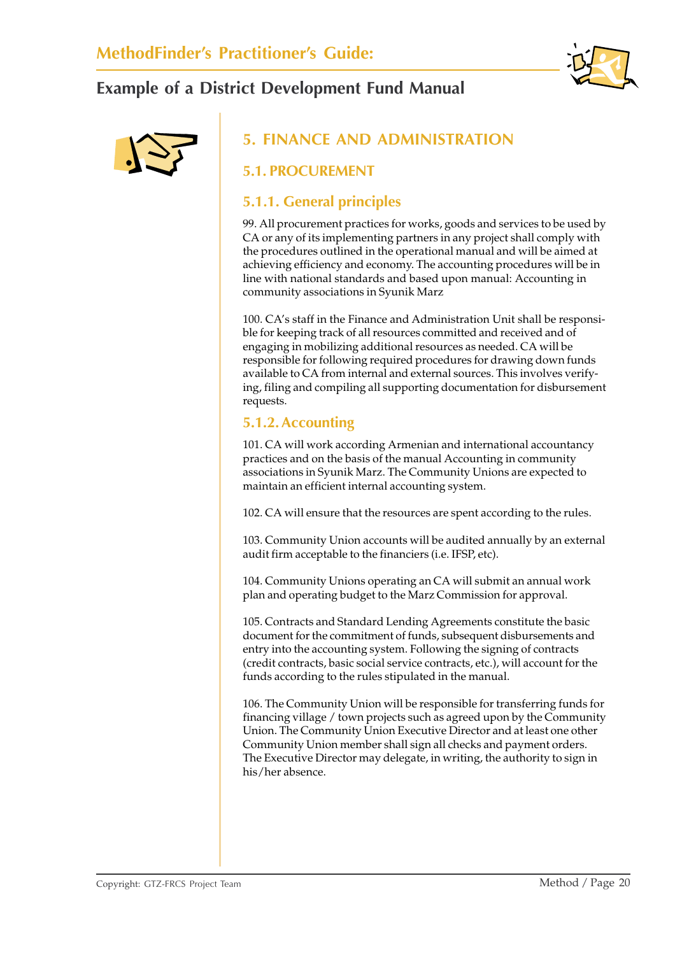



## **5. FINANCE AND ADMINISTRATION**

#### **5.1. PROCUREMENT**

#### **5.1.1. General principles**

99. All procurement practices for works, goods and services to be used by CA or any of its implementing partners in any project shall comply with the procedures outlined in the operational manual and will be aimed at achieving efficiency and economy. The accounting procedures will be in line with national standards and based upon manual: Accounting in community associations in Syunik Marz

100. CA's staff in the Finance and Administration Unit shall be responsible for keeping track of all resources committed and received and of engaging in mobilizing additional resources as needed. CA will be responsible for following required procedures for drawing down funds available to CA from internal and external sources. This involves verifying, filing and compiling all supporting documentation for disbursement requests.

#### **5.1.2. Accounting**

101. CA will work according Armenian and international accountancy practices and on the basis of the manual Accounting in community associations in Syunik Marz. The Community Unions are expected to maintain an efficient internal accounting system.

102. CA will ensure that the resources are spent according to the rules.

103. Community Union accounts will be audited annually by an external audit firm acceptable to the financiers (i.e. IFSP, etc).

104. Community Unions operating an CA will submit an annual work plan and operating budget to the Marz Commission for approval.

105. Contracts and Standard Lending Agreements constitute the basic document for the commitment of funds, subsequent disbursements and entry into the accounting system. Following the signing of contracts (credit contracts, basic social service contracts, etc.), will account for the funds according to the rules stipulated in the manual.

106. The Community Union will be responsible for transferring funds for financing village / town projects such as agreed upon by the Community Union. The Community Union Executive Director and at least one other Community Union member shall sign all checks and payment orders. The Executive Director may delegate, in writing, the authority to sign in his/her absence.